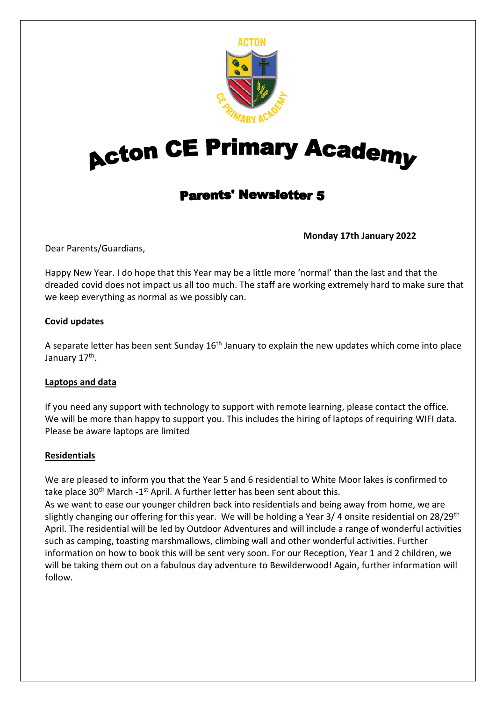

# **Acton CE Primary Academy**

# **Parents' Newsletter 5**

**Monday 17th January 2022**

Dear Parents/Guardians,

Happy New Year. I do hope that this Year may be a little more 'normal' than the last and that the dreaded covid does not impact us all too much. The staff are working extremely hard to make sure that we keep everything as normal as we possibly can.

#### **Covid updates**

A separate letter has been sent Sunday  $16<sup>th</sup>$  January to explain the new updates which come into place January 17<sup>th</sup>.

#### **Laptops and data**

If you need any support with technology to support with remote learning, please contact the office. We will be more than happy to support you. This includes the hiring of laptops of requiring WIFI data. Please be aware laptops are limited

#### **Residentials**

We are pleased to inform you that the Year 5 and 6 residential to White Moor lakes is confirmed to take place 30<sup>th</sup> March -1<sup>st</sup> April. A further letter has been sent about this. As we want to ease our younger children back into residentials and being away from home, we are slightly changing our offering for this year. We will be holding a Year 3/4 onsite residential on 28/29<sup>th</sup> April. The residential will be led by Outdoor Adventures and will include a range of wonderful activities such as camping, toasting marshmallows, climbing wall and other wonderful activities. Further information on how to book this will be sent very soon. For our Reception, Year 1 and 2 children, we will be taking them out on a fabulous day adventure to Bewilderwood! Again, further information will follow.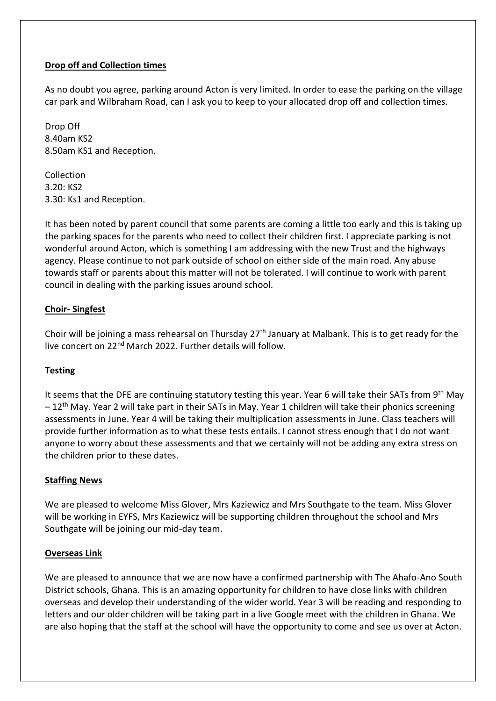#### **Drop off and Collection times**

As no doubt you agree, parking around Acton is very limited. In order to ease the parking on the village car park and Wilbraham Road, can I ask you to keep to your allocated drop off and collection times.

Drop Off 8.40am KS2 8.50am KS1 and Reception.

Collection 3.20: KS2 3.30: Ks1 and Reception.

It has been noted by parent council that some parents are coming a little too early and this is taking up the parking spaces for the parents who need to collect their children first. I appreciate parking is not wonderful around Acton, which is something I am addressing with the new Trust and the highways agency. Please continue to not park outside of school on either side of the main road. Any abuse towards staff or parents about this matter will not be tolerated. I will continue to work with parent council in dealing with the parking issues around school.

#### **Choir- Singfest**

Choir will be joining a mass rehearsal on Thursday 27<sup>th</sup> January at Malbank. This is to get ready for the live concert on 22<sup>nd</sup> March 2022. Further details will follow.

## **Testing**

It seems that the DFE are continuing statutory testing this year. Year 6 will take their SATs from 9<sup>th</sup> May  $-12$ <sup>th</sup> May. Year 2 will take part in their SATs in May. Year 1 children will take their phonics screening assessments in June. Year 4 will be taking their multiplication assessments in June. Class teachers will provide further information as to what these tests entails. I cannot stress enough that I do not want anyone to worry about these assessments and that we certainly will not be adding any extra stress on the children prior to these dates.

#### **Staffing News**

We are pleased to welcome Miss Glover, Mrs Kaziewicz and Mrs Southgate to the team. Miss Glover will be working in EYFS, Mrs Kaziewicz will be supporting children throughout the school and Mrs Southgate will be joining our mid-day team.

#### **Overseas Link**

We are pleased to announce that we are now have a confirmed partnership with The Ahafo-Ano South District schools, Ghana. This is an amazing opportunity for children to have close links with children overseas and develop their understanding of the wider world. Year 3 will be reading and responding to letters and our older children will be taking part in a live Google meet with the children in Ghana. We are also hoping that the staff at the school will have the opportunity to come and see us over at Acton.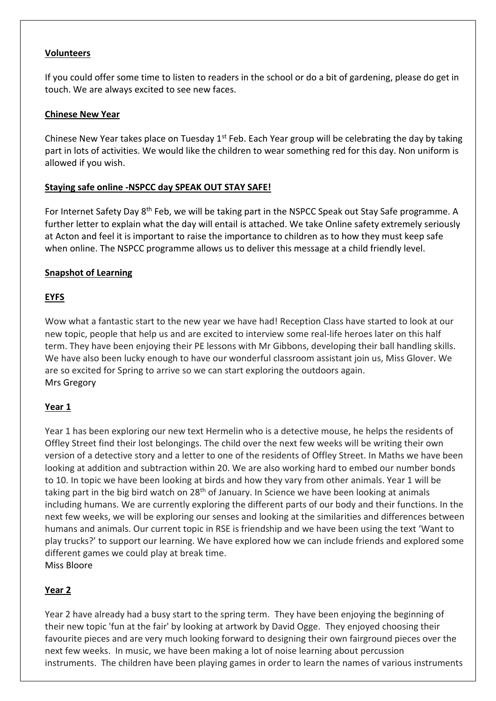#### **Volunteers**

If you could offer some time to listen to readers in the school or do a bit of gardening, please do get in touch. We are always excited to see new faces.

#### **Chinese New Year**

Chinese New Year takes place on Tuesday  $1^{st}$  Feb. Each Year group will be celebrating the day by taking part in lots of activities. We would like the children to wear something red for this day. Non uniform is allowed if you wish.

#### **Staying safe online -NSPCC day SPEAK OUT STAY SAFE!**

For Internet Safety Day 8<sup>th</sup> Feb, we will be taking part in the NSPCC Speak out Stay Safe programme. A further letter to explain what the day will entail is attached. We take Online safety extremely seriously at Acton and feel it is important to raise the importance to children as to how they must keep safe when online. The NSPCC programme allows us to deliver this message at a child friendly level.

#### **Snapshot of Learning**

#### **EYFS**

Wow what a fantastic start to the new year we have had! Reception Class have started to look at our new topic, people that help us and are excited to interview some real-life heroes later on this half term. They have been enjoying their PE lessons with Mr Gibbons, developing their ball handling skills. We have also been lucky enough to have our wonderful classroom assistant join us, Miss Glover. We are so excited for Spring to arrive so we can start exploring the outdoors again. Mrs Gregory

#### **Year 1**

Year 1 has been exploring our new text Hermelin who is a detective mouse, he helps the residents of Offley Street find their lost belongings. The child over the next few weeks will be writing their own version of a detective story and a letter to one of the residents of Offley Street. In Maths we have been looking at addition and subtraction within 20. We are also working hard to embed our number bonds to 10. In topic we have been looking at birds and how they vary from other animals. Year 1 will be taking part in the big bird watch on 28<sup>th</sup> of January. In Science we have been looking at animals including humans. We are currently exploring the different parts of our body and their functions. In the next few weeks, we will be exploring our senses and looking at the similarities and differences between humans and animals. Our current topic in RSE is friendship and we have been using the text 'Want to play trucks?' to support our learning. We have explored how we can include friends and explored some different games we could play at break time.

Miss Bloore

#### **Year 2**

Year 2 have already had a busy start to the spring term. They have been enjoying the beginning of their new topic 'fun at the fair' by looking at artwork by David Ogge. They enjoyed choosing their favourite pieces and are very much looking forward to designing their own fairground pieces over the next few weeks. In music, we have been making a lot of noise learning about percussion instruments. The children have been playing games in order to learn the names of various instruments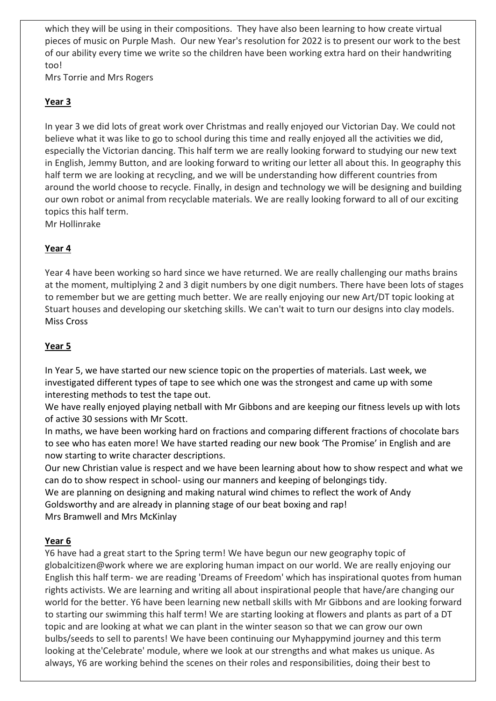which they will be using in their compositions. They have also been learning to how create virtual pieces of music on Purple Mash. Our new Year's resolution for 2022 is to present our work to the best of our ability every time we write so the children have been working extra hard on their handwriting too!

Mrs Torrie and Mrs Rogers

# **Year 3**

In year 3 we did lots of great work over Christmas and really enjoyed our Victorian Day. We could not believe what it was like to go to school during this time and really enjoyed all the activities we did, especially the Victorian dancing. This half term we are really looking forward to studying our new text in English, Jemmy Button, and are looking forward to writing our letter all about this. In geography this half term we are looking at recycling, and we will be understanding how different countries from around the world choose to recycle. Finally, in design and technology we will be designing and building our own robot or animal from recyclable materials. We are really looking forward to all of our exciting topics this half term.

Mr Hollinrake

# **Year 4**

Year 4 have been working so hard since we have returned. We are really challenging our maths brains at the moment, multiplying 2 and 3 digit numbers by one digit numbers. There have been lots of stages to remember but we are getting much better. We are really enjoying our new Art/DT topic looking at Stuart houses and developing our sketching skills. We can't wait to turn our designs into clay models. Miss Cross

# **Year 5**

In Year 5, we have started our new science topic on the properties of materials. Last week, we investigated different types of tape to see which one was the strongest and came up with some interesting methods to test the tape out.

We have really enjoyed playing netball with Mr Gibbons and are keeping our fitness levels up with lots of active 30 sessions with Mr Scott.

In maths, we have been working hard on fractions and comparing different fractions of chocolate bars to see who has eaten more! We have started reading our new book 'The Promise' in English and are now starting to write character descriptions.

Our new Christian value is respect and we have been learning about how to show respect and what we can do to show respect in school- using our manners and keeping of belongings tidy.

We are planning on designing and making natural wind chimes to reflect the work of Andy Goldsworthy and are already in planning stage of our beat boxing and rap!

Mrs Bramwell and Mrs McKinlay

## **Year 6**

Y6 have had a great start to the Spring term! We have begun our new geography topic of globalcitizen@work where we are exploring human impact on our world. We are really enjoying our English this half term- we are reading 'Dreams of Freedom' which has inspirational quotes from human rights activists. We are learning and writing all about inspirational people that have/are changing our world for the better. Y6 have been learning new netball skills with Mr Gibbons and are looking forward to starting our swimming this half term! We are starting looking at flowers and plants as part of a DT topic and are looking at what we can plant in the winter season so that we can grow our own bulbs/seeds to sell to parents! We have been continuing our Myhappymind journey and this term looking at the'Celebrate' module, where we look at our strengths and what makes us unique. As always, Y6 are working behind the scenes on their roles and responsibilities, doing their best to